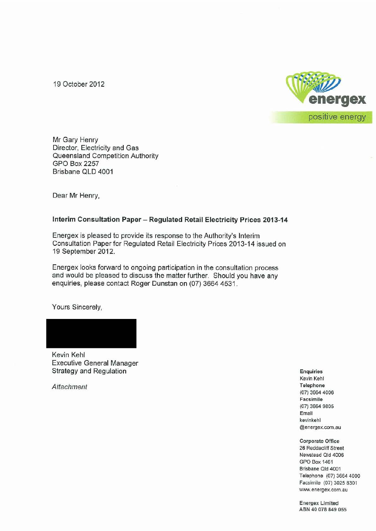19 October 2012



Mr Gary Henry Director, Electricity and Gas Queensland Competition Authority GPO Box 2257 Brisbane QLD 4001

Dear Mr Henry,

#### **Interim Consultation Paper- Regulated Retail Electricity Prices 2013-14**

Energex is pleased to provide its response to the Authority's Interim Consultation Paper for Regulated Retail Electricity Prices 2013-14 issued on 19 September 2012.

Energex looks forward to ongoing participation in the consultation process and would be pleased to discuss the matter further. Should you have any enquiries, please contact Roger Dunstan on (07) 3664 4531.

Yours Sincerely,

Kevin Kehl Executive General Manager Strategy and Regulation

Attachment

Enquiries Kevin Kehl Telephone (07) 3664 4006 Facsimile (07) 3664 9805 Email kevinkehl @energex.com.au

Corporate Office 26 Reddacliff Street Newstead Qld 4006 GPO Box 1461 Brisbane Qld 4001 Telephone (07) 3664 4000 Facsimile (07) 3025 8301 www.energex.com.au

Energex Limited ABN 40 078 849 055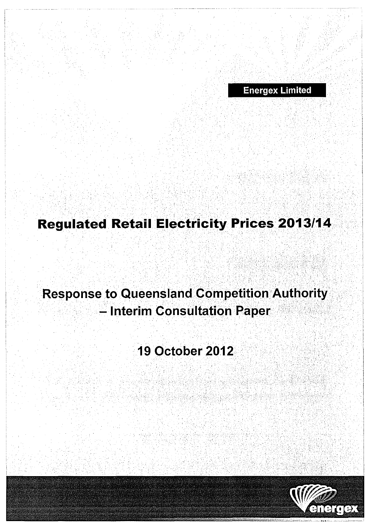Energex Limited

# **Regulated Retail Electricity Prices 2013/14**

' ' ' ' ' . . : " .. ·' ' ' . ' . : '' ~·

# **Response to Queensland Competition Authority** - Interim Consultation Paper

# 19 October 2012

E. 대학 출항



.<br>Windia 2014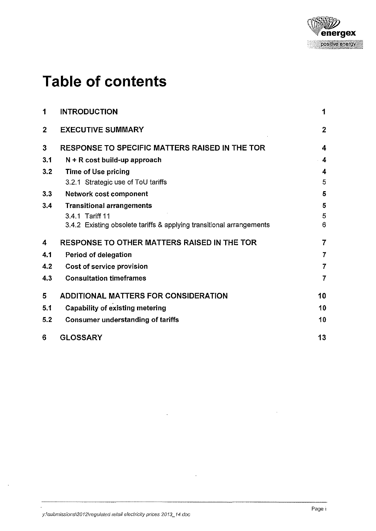

# **Table of contents**

| 1            | <b>INTRODUCTION</b>                                                  | 1                |
|--------------|----------------------------------------------------------------------|------------------|
| $\mathbf{2}$ | <b>EXECUTIVE SUMMARY</b>                                             | $\overline{2}$   |
| 3            | <b>RESPONSE TO SPECIFIC MATTERS RAISED IN THE TOR</b>                | $\boldsymbol{4}$ |
| 3.1          | $N + R$ cost build-up approach                                       | 4                |
| 3.2          | <b>Time of Use pricing</b>                                           | 4                |
|              | 3.2.1 Strategic use of ToU tariffs                                   | 5                |
| 3.3          | Network cost component                                               | 5                |
| 3.4          | <b>Transitional arrangements</b>                                     | 5                |
|              | 3.4.1 Tariff 11                                                      | 5                |
|              | 3.4.2 Existing obsolete tariffs & applying transitional arrangements | 6                |
| 4            | <b>RESPONSE TO OTHER MATTERS RAISED IN THE TOR</b>                   | $\overline{7}$   |
| 4.1          | Period of delegation                                                 | $\overline{7}$   |
| 4.2          | Cost of service provision                                            | $\overline{7}$   |
| 4.3          | <b>Consultation timeframes</b>                                       | $\overline{7}$   |
| 5            | ADDITIONAL MATTERS FOR CONSIDERATION                                 | 10               |
| 5.1          | <b>Capability of existing metering</b>                               | 10               |
| 5.2          | <b>Consumer understanding of tariffs</b>                             | 10               |
| 6            | <b>GLOSSARY</b>                                                      | 13               |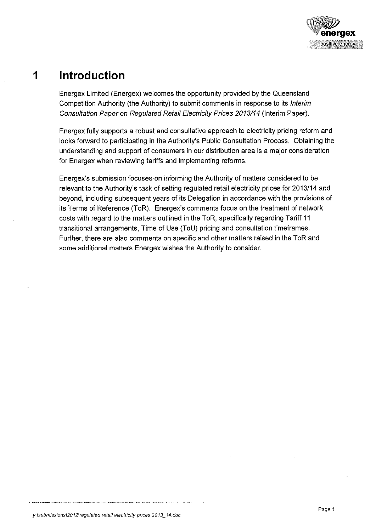

## **1 Introduction**

Energex Limited (Energex) welcomes the opportunity provided by the Queensland Competition Authority (the Authority) to submit comments in response to its Interim Consultation Paper on Regulated Retail Electricity Prices 2013114 (Interim Paper).

Energex fully supports a robust and consultative approach to electricity pricing reform and looks forward to participating in the Authority's Public Consultation Process. Obtaining the understanding and support of consumers in our distribution area is a major consideration for Energex when reviewing tariffs and implementing reforms.

Energex's submission focuses·on informing the Authority of matters considered to be relevant to the Authority's task of setting regulated retail electricity prices for 2013114 and beyond, including subsequent years of its Delegation in accordance with the provisions of its Terms of Reference (ToR). Energex's comments focus on the treatment of network costs with regard to the matters outlined in the ToR, specifically regarding Tariff 11 transitional arrangements, Time of Use (TaU) pricing and consultation timeframes. Further, there are also comments on specific and other matters raised in the ToR and some additional matters Energex wishes the Authority to consider.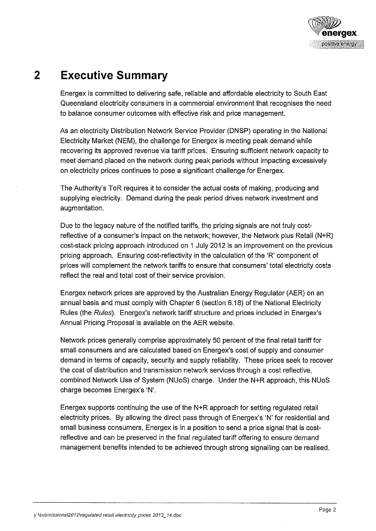

## **2 Executive Summary**

Energex is committed to delivering safe, reliable and affordable electricity to South East Queensland electricity consumers in a commercial environment that recognises the need to balance consumer outcomes with effective risk and price management.

As an electricity Distribution Network Service Provider (DNSP) operating in the National Electricity Market (NEM), the challenge for Energex is meeting peak demand while recovering its approved revenue via tariff prices. Ensuring sufficient network capacity to meet demand placed on the network during peak periods without impacting excessively on electricity prices continues to pose a significant challenge for Energex.

The Authority's ToR requires it to consider the actual costs of making, producing and supplying electricity. Demand during the peak period drives network investment and augmentation.

Due to the legacy nature of the notified tariffs, the pricing signals are not truly costreflective of a consumer's impact on the network; however, the Network plus Retail (N+R) cost-stack pricing approach introduced on 1 July 2012 is an improvement on the previous pricing approach. Ensuring cost-reflectivity in the calculation of the 'R' component of prices will complement the network tariffs to ensure that consumers' total electricity costs reflect the real and total cost of their service provision.

Energex network prices are approved by the Australian Energy Regulator (AER) on an annual basis and must comply with Chapter 6 (section 6.18) of the National Electricity Rules (the Rules). Energex's network tariff structure and prices included in Energex's Annual Pricing Proposal is available on the AER website.

Network prices generally comprise approximately 50 percent of the final retail tariff for small consumers and are calculated based on Energex's cost of supply and consumer demand in terms of capacity, security and supply reliability. These prices seek to recover the cost of distribution and transmission network services through a cost reflective, combined Network Use of System (NUoS) charge. Under the N+R approach, this NUoS charge becomes Energex's 'N'.

Energex supports continuing the use of the N+R approach for setting regulated retail electricity prices. By allowing the direct pass through of Energex's 'N' for residential and small business consumers, Energex is in a position to send a price signal that is costreflective and can be preserved in the final regulated tariff offering to ensure demand management benefits intended to be achieved through strong signalling can be realised.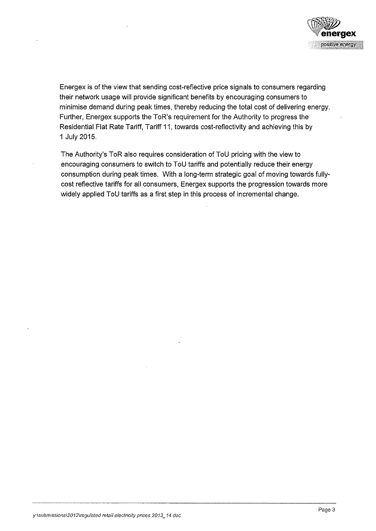

Energex is of the view that sending cost-reflective price signals to consumers regarding their network usage will provide significant benefits by encouraging consumers to minimise demand during peak times, thereby reducing the total cost of delivering energy. Further, Energex supports the ToR's requirement for the Authority to progress the Residential Flat Rate Tariff, Tariff 11, towards cost-reflectivity and achieving this by 1 July 2015.

The Authority's ToR also requires consideration of TaU pricing with the view to encouraging consumers to switch to ToU tariffs and potentially reduce their energy consumption during peak times. With a long-term strategic goal of moving towards fullycost reflective tariffs for all consumers, Energex supports the progression towards more widely applied ToU tariffs as a first step in this process of incremental change.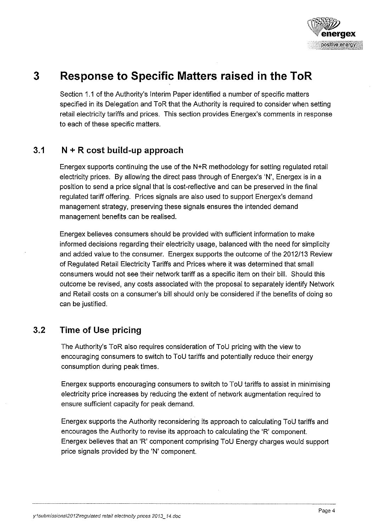

## **3 Response to Specific Matters raised in the ToR**

Section 1.1 of the Authority's Interim Paper identified a number of specific matters specified in its Delegation and ToR that the Authority is required to consider when setting retail electricity tariffs and prices. This section provides Energex's comments in response to each of these specific matters.

#### **3.1 N + R cost build-up approach**

Energex supports continuing the use of the N+R methodology for setting regulated retail electricity prices. By allowing the direct pass through of Energex's 'N', Energex is in a position to send a price signal that is cost-reflective and can be preserved in the final regulated tariff offering. Prices signals are also used to support Energex's demand management strategy, preserving these signals ensures the intended demand management benefits can be realised.

Energex believes consumers should be provided with sufficient information to make informed decisions regarding their electricity usage, balanced with the need for simplicity and added value to the consumer. Energex supports the outcome of the 2012/13 Review of Regulated Retail Electricity Tariffs and Prices where it was determined that small consumers would not see their network tariff as a specific item on their bill. Should this outcome be revised, any costs associated with the proposal to separately identify Network and Retail costs on a consumer's bill should only be considered if the benefits of doing so can be justified.

#### **3.2 Time of Use pricing**

The Authority's ToR also requires consideration of TaU pricing with the view to encouraging consumers to switch to TaU tariffs and potentially reduce their energy consumption during peak times.

Energex supports encouraging consumers to switch to TaU tariffs to assist in minimising electricity price increases by reducing the extent of network augmentation required to ensure sufficient capacity for peak demand.

Energex supports the Authority reconsidering its approach to calculating TaU tariffs and encourages the Authority to revise its approach to calculating the 'R' component. Energex believes that an 'R' component comprising TaU Energy charges would support price signals provided by the 'N' component.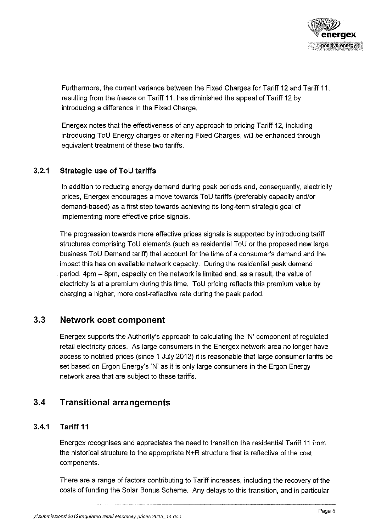

Furthermore, the current variance between the Fixed Charges for Tariff 12 and Tariff 11, resulting from the freeze on Tariff 11, has diminished the appeal of Tariff 12 by introducing a difference in the Fixed Charge.

Energex notes that the effectiveness of any approach to pricing Tariff 12, including introducing ToU Energy charges or altering Fixed Charges, will be enhanced through equivalent treatment of these two tariffs.

#### **3.2.1 Strategic use of ToU tariffs**

In addition to reducing energy demand during peak periods and, consequently, electricity prices, Energex encourages a move towards ToU tariffs (preferably capacity and/or demand-based) as a first step towards achieving its long-term strategic goal of implementing more effective price signals.

The progression towards more effective prices signals is supported by introducing tariff structures comprising ToU elements (such as residential ToU or the proposed new large business ToU Demand tariff) that account for the time of a consumer's demand and the impact this has on available network capacity. During the residential peak demand period, 4pm - 8pm, capacity on the network is limited and, as a result, the value of electricity is at a premium during this time. ToU pricing reflects this premium value by charging a higher, more cost-reflective rate during the peak period.

#### **3.3 Network cost component**

Energex supports the Authority's approach to calculating the 'N' component of regulated retail electricity prices. As large consumers in the Energex network area no longer have access to notified prices (since 1 July 2012) it is reasonable that large consumer tariffs be set based on Ergon Energy's 'N' as it is only large consumers in the Ergon Energy network area that are subject to these tariffs.

### **3.4 Transitional arrangements**

#### **3.4.1 Tariff 11**

Energex recognises and appreciates the need to transition the residential Tariff 11 from the historical structure to the appropriate N+R structure that is reflective of the cost components.

There are a range of factors contributing to Tariff increases, including the recovery of the costs of funding the Solar Bonus Scheme. Any delays to this transition, and in particular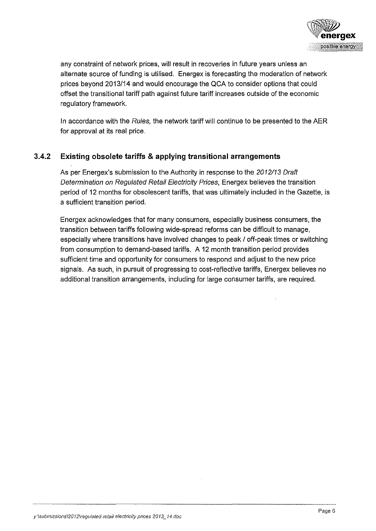

any constraint of network prices, will result in recoveries in future years unless an alternate source of funding is utilised. Energex is forecasting the moderation of network prices beyond 2013114 and would encourage the QCA to consider options that could offset the transitional tariff path against future tariff increases outside of the economic regulatory framework.

In accordance with the Rules, the network tariff will continue to be presented to the AER for approval at its real price.

#### **3.4.2 Existing obsolete tariffs & applying transitional arrangements**

As per Energex's submission to the Authority in response to the 2012/13 Draft Determination on Regulated Retail Electricity Prices, Energex believes the transition period of 12 months for obsolescent tariffs, that was ultimately included in the Gazette, is a sufficient transition period.

Energex acknowledges that for many consumers, especially business consumers, the transition between tariffs following wide-spread reforms can be difficult to manage, especially where transitions have involved changes to peak / off-peak times or switching from consumption to demand-based tariffs. A 12 month transition period provides sufficient time and opportunity for consumers to respond and adjust to the new price signals. As such, in pursuit of progressing to cost-reflective tariffs, Energex believes no additional transition arrangements, including for large consumer tariffs, are required.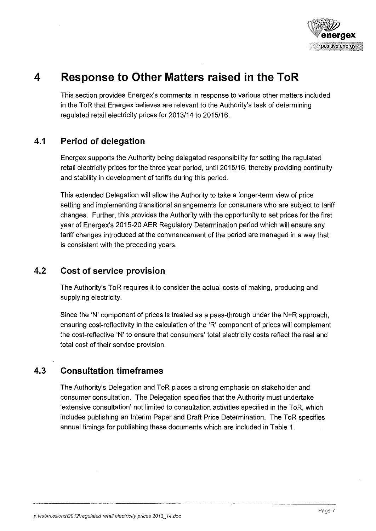

## **4 Response to Other Matters raised in the ToR**

This section provides Energex's comments in response to various other matters included in the ToR that Energex believes are relevant to the Authority's task of determining regulated retail electricity prices for 2013/14 to 2015/16.

#### **4.1 Period of delegation**

Energex supports the Authority being delegated responsibility for setting the regulated retail electricity prices for the three year period, until 2015/16, thereby providing continuity and stability in development of tariffs during this period.

This extended Delegation will allow the Authority to take a longer-term view of price setting and implementing transitional arrangements for consumers who are subject to tariff changes. Further, this provides the Authority with the opportunity to set prices for the first year of Energex's 2015-20 AER Regulatory Determination period which will ensure any tariff changes introduced at the commencement of the period are managed in a way that is consistent with the preceding years.

### **4.2 Cost of service provision**

The Authority's ToR requires it to consider the actual costs of making, producing and supplying electricity.

Since the 'N' component of prices is treated as a pass-through under the N+R approach, ensuring cost-reflectivity in the calculation of the 'R' component of prices will complement the cost-reflective 'N' to ensure that consumers' total electricity costs reflect the real and total cost of their service provision.

### **4.3 Consultation timeframes**

The Authority's Delegation and ToR places a strong emphasis on stakeholder and consumer consultation. The Delegation specifies that the Authority must undertake 'extensive consultation' not limited to consultation activities specified in the ToR, which includes publishing an Interim Paper and Draft Price Determination. The ToR specifies annual timings for publishing these documents which are included in Table 1.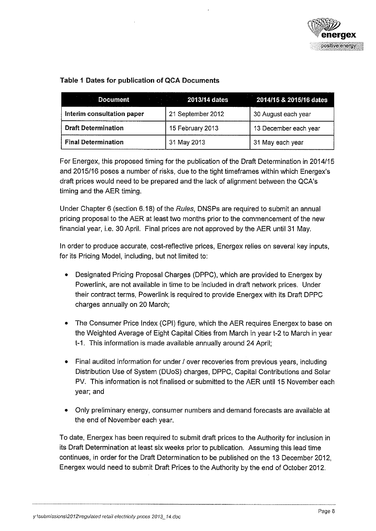

|  |  |  |  |  |  |  | Table 1 Dates for publication of QCA Documents |
|--|--|--|--|--|--|--|------------------------------------------------|
|--|--|--|--|--|--|--|------------------------------------------------|

| <b>Document</b>            | <b>2013/14 dates</b> | 2014/15 & 2015/16 dates |
|----------------------------|----------------------|-------------------------|
| Interim consultation paper | 21 September 2012    | 30 August each year     |
| <b>Draft Determination</b> | 15 February 2013     | 13 December each year   |
| <b>Final Determination</b> | 31 May 2013          | 31 May each year        |

For Energex, this proposed timing for the publication of the Draft Determination in 2014/15 and 2015/16 poses a number of risks, due to the tight timeframes within which Energex's draft prices would need to be prepared and the lack of alignment between the QCA's timing and the AER timing.

Under Chapter 6 (section 6.18) of the Rules, DNSPs are required to submit an annual pricing proposal to the AER at least two months prior to the commencement of the new financial year, i.e. 30 April. Final prices are not approved by the AER until 31 May.

In order to produce accurate, cost-reflective prices, Energex relies on several key inputs, for its Pricing Model, including, but not limited to:

- Designated Pricing Proposal Charges (DPPC), which are provided to Energex by Powerlink, are not available in time to be included in draft network prices. Under their contract terms, Powerlink is required to provide Energex with its Draft DPPC charges annually on 20 March;
- The Consumer Price Index (CPI) figure, which the AER requires Energex to base on the Weighted Average of Eight Capital Cities from March in year t-2 to March in year t-1. This information is made available annually around 24 April;
- Final audited information for under / over recoveries from previous years, including Distribution Use of System (DUoS) charges, DPPC, Capital Contributions and Solar PV. This information is not finalised or submitted to the AER until 15 November each year; and
- Only preliminary energy, consumer numbers and demand forecasts are available at the end of November each year.

To date, Energex has been required to submit draft prices to the Authority for inclusion in its Draft Determination at least six weeks prior to publication. Assuming this lead time continues, in order for the Draft Determination to be published on the 13 December 2012, Energex would need to submit Draft Prices to the Authority by the end of October 2012.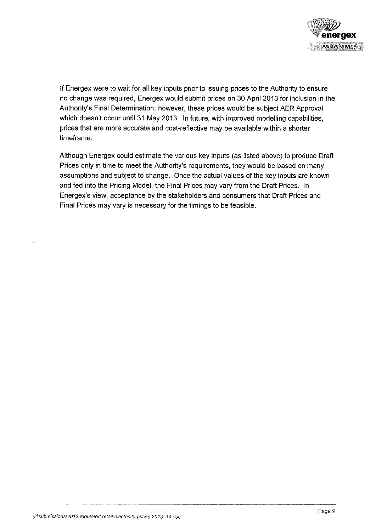

If Energex were to wait for all key inputs prior to issuing prices to the Authority to ensure no change was required, Energex would submit prices on 30 April 2013 for inclusion in the Authority's Final Determination; however, these prices would be subject AER Approval which doesn't occur until 31 May 2013. In future, with improved modelling capabilities, prices that are more accurate and cost-reflective may be available within a shorter timeframe.

Although Energex could estimate the various key inputs (as listed above) to produce Draft Prices only in time to meet the Authority's requirements, they would be based on many assumptions and subject to change. Once the actual values of the key inputs are known and fed into the Pricing Model, the Final Prices may vary from the Draft Prices. In Energex's view, acceptance by the stakeholders and consumers that Draft Prices and Final Prices may vary is necessary for the timings to be feasible.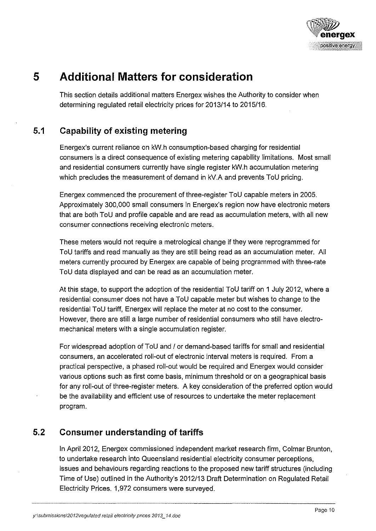

## **5 Additional Matters for consideration**

This section details additional matters Energex wishes the Authority to consider when determining regulated retail electricity prices for 2013/14 to 2015/16.

### **5.1 Capability of existing metering**

Energex's current reliance on kW.h consumption-based charging for residential consumers is a direct consequence of existing metering capability limitations. Most small and residential consumers currently have single register kW.h accumulation metering which precludes the measurement of demand in kV.A and prevents ToU pricing.

Energex commenced the procurement of three-register ToU capable meters in 2005. Approximately 300,000 small consumers in Energex's region now have electronic meters that are both ToU and profile capable and are read as accumulation meters, with all new consumer connections receiving electronic meters.

These meters would not require a metrological change if they were reprogrammed for ToU tariffs and read manually as they are still being read as an accumulation meter. All meters currently procured by Energex are capable of being programmed with three-rate ToU data displayed and can be read as an accumulation meter.

At this stage, to support the adoption of the residential ToU tariff on 1 July 2012, where a residential consumer does not have a ToU capable meter but wishes to change to the residential ToU tariff, Energex will replace the meter at no cost to the consumer. However, there are still a large number of residential consumers who still have electromechanical meters with a single accumulation register.

For widespread adoption of ToU and / or demand-based tariffs for small and residential consumers, an accelerated roll-out of electronic interval meters is required. From a practical perspective, a phased roll-out would be required and Energex would consider various options such as first come basis, minimum threshold or on a geographical basis for any roll-out of three-register meters. A key consideration of the preferred option would be the availability and efficient use of resources to undertake the meter replacement program.

#### **5.2 Consumer understanding of tariffs**

In April 2012, Energex commissioned independent market research firm, Colmar Brunton, to undertake research into Queensland residential electricity consumer perceptions, issues and behaviours regarding reactions to the proposed new tariff structures (including Time of Use) outlined in the Authority's 2012/13 Draft Determination on Regulated Retail Electricity Prices. 1,972 consumers were surveyed.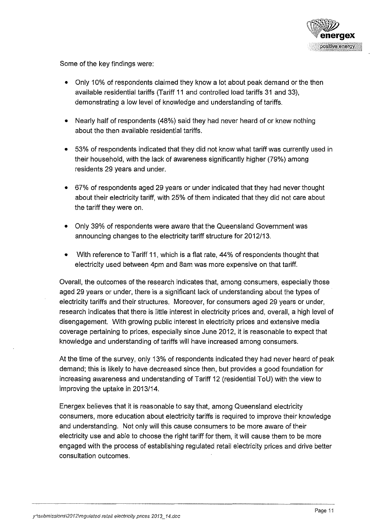

Some of the key findings were:

- Only 10% of respondents claimed they know a lot about peak demand or the then available residential tariffs (Tariff 11 and controlled load tariffs 31 and 33), demonstrating a low level of knowledge and understanding of tariffs.
- Nearly half of respondents (48%) said they had never heard of or knew nothing about the then available residential tariffs.
- 53% of respondents indicated that they did not know what tariff was currently used in their household, with the lack of awareness significantly higher (79%) among residents 29 years and under.
- 67% of respondents aged 29 years or under indicated that they had never thought about their electricity tariff, with 25% of them indicated that they did not care about the tariff they were on.
- Only 39% of respondents were aware that the Queensland Government was announcing changes to the electricity tariff structure for 2012/13.
- With reference to Tariff 11, which is a flat rate, 44% of respondents thought that electricity used between 4pm and Sam was more expensive on that tariff.

Overall, the outcomes of the research indicates that, among consumers, especially those aged 29 years or under, there is a significant lack of understanding about the types of electricity tariffs and their structures. Moreover, for consumers aged 29 years or under, research indicates that there is little interest in electricity prices and, overall, a high level of disengagement. With growing public interest in electricity prices and extensive media coverage pertaining to prices, especially since June 2012, it is reasonable to expect that knowledge and understanding of tariffs will have increased among consumers.

At the time of the survey, only 13% of respondents indicated they had never heard of peak demand; this is likely to have decreased since then, but provides a good foundation for increasing awareness and understanding of Tariff 12 (residential ToU) with the view to improving the uptake in 2013/14.

Energex believes that it is reasonable to say that, among Queensland electricity consumers, more education about electricity tariffs is required to improve their knowledge and understanding. Not only will this cause consumers to be more aware of their electricity use and able to choose the right tariff for them, it will cause them to be more engaged with the process of establishing regulated retail electricity prices and drive better consultation outcomes.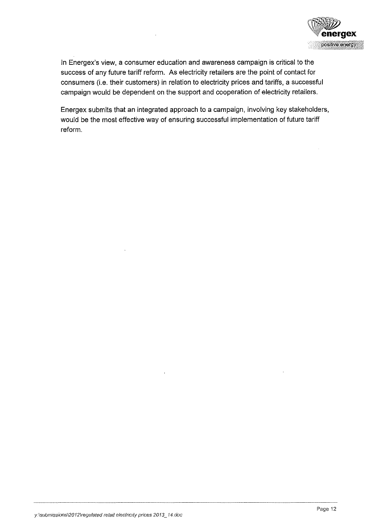

In Energex's view, a consumer education and awareness campaign is critical to the success of any future tariff reform. As electricity retailers are the point of contact for consumers (i.e. their customers) in relation to electricity prices and tariffs, a successful campaign would be dependent on the support and cooperation of electricity retailers.

Energex submits that an integrated approach to a campaign, involving key stakeholders, would be the most effective way of ensuring successful implementation of future tariff reform.